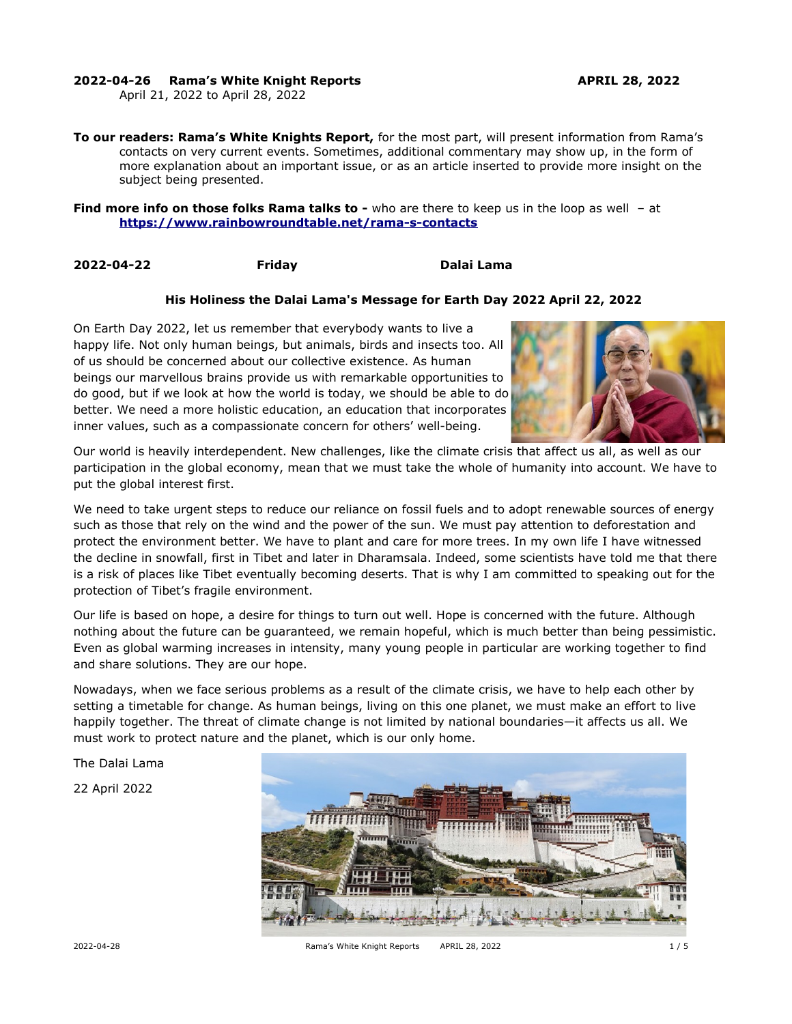# **2022-04-26 Rama's White Knight Reports APRIL 28, 2022**

April 21, 2022 to April 28, 2022

**To our readers: Rama's White Knights Report,** for the most part, will present information from Rama's contacts on very current events. Sometimes, additional commentary may show up, in the form of more explanation about an important issue, or as an article inserted to provide more insight on the subject being presented.

**Find more info on those folks Rama talks to -** who are there to keep us in the loop as well - at **<https://www.rainbowroundtable.net/rama-s-contacts>**

**2022-04-22 Friday Dalai Lama**

# **His Holiness the Dalai Lama's Message for Earth Day 2022 April 22, 2022**

On Earth Day 2022, let us remember that everybody wants to live a happy life. Not only human beings, but animals, birds and insects too. All of us should be concerned about our collective existence. As human beings our marvellous brains provide us with remarkable opportunities to do good, but if we look at how the world is today, we should be able to do better. We need a more holistic education, an education that incorporates inner values, such as a compassionate concern for others' well-being.



Our world is heavily interdependent. New challenges, like the climate crisis that affect us all, as well as our participation in the global economy, mean that we must take the whole of humanity into account. We have to put the global interest first.

We need to take urgent steps to reduce our reliance on fossil fuels and to adopt renewable sources of energy such as those that rely on the wind and the power of the sun. We must pay attention to deforestation and protect the environment better. We have to plant and care for more trees. In my own life I have witnessed the decline in snowfall, first in Tibet and later in Dharamsala. Indeed, some scientists have told me that there is a risk of places like Tibet eventually becoming deserts. That is why I am committed to speaking out for the protection of Tibet's fragile environment.

Our life is based on hope, a desire for things to turn out well. Hope is concerned with the future. Although nothing about the future can be guaranteed, we remain hopeful, which is much better than being pessimistic. Even as global warming increases in intensity, many young people in particular are working together to find and share solutions. They are our hope.

Nowadays, when we face serious problems as a result of the climate crisis, we have to help each other by setting a timetable for change. As human beings, living on this one planet, we must make an effort to live happily together. The threat of climate change is not limited by national boundaries—it affects us all. We must work to protect nature and the planet, which is our only home.

The Dalai Lama

22 April 2022

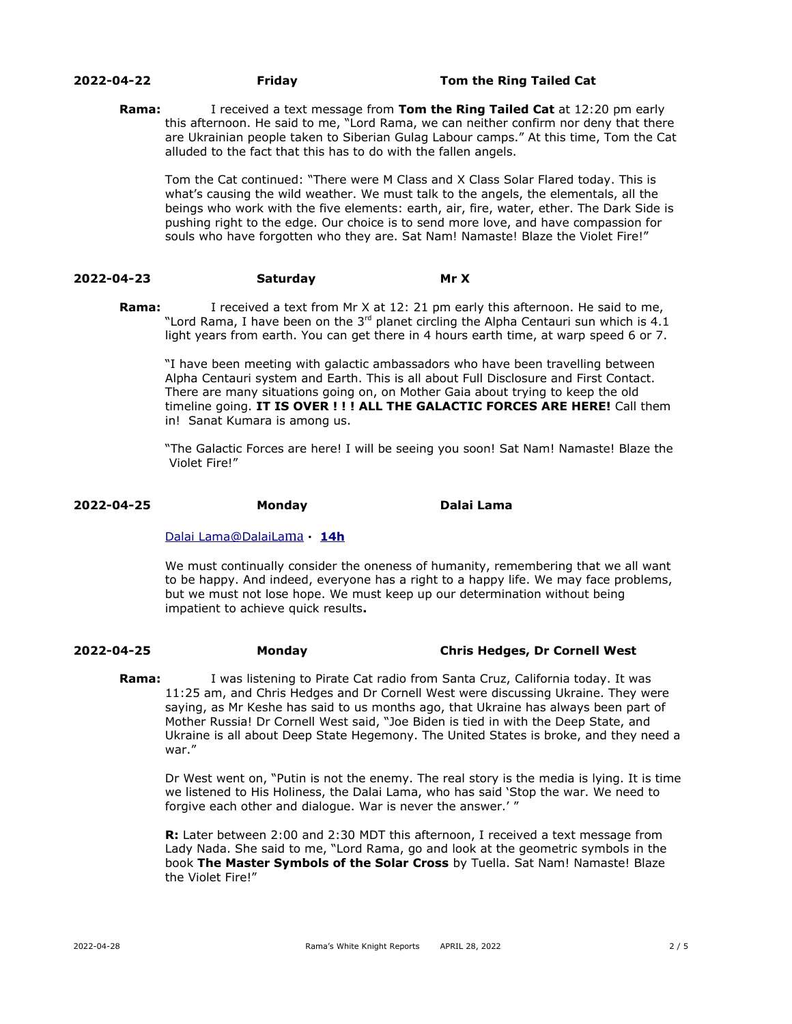## **2022-04-22 Friday Tom the Ring Tailed Cat**

**Rama:** I received a text message from **Tom the Ring Tailed Cat** at 12:20 pm early this afternoon. He said to me, "Lord Rama, we can neither confirm nor deny that there are Ukrainian people taken to Siberian Gulag Labour camps." At this time, Tom the Cat alluded to the fact that this has to do with the fallen angels.

Tom the Cat continued: "There were M Class and X Class Solar Flared today. This is what's causing the wild weather. We must talk to the angels, the elementals, all the beings who work with the five elements: earth, air, fire, water, ether. The Dark Side is pushing right to the edge. Our choice is to send more love, and have compassion for souls who have forgotten who they are. Sat Nam! Namaste! Blaze the Violet Fire!"

# **2022-04-23 Saturday Mr X**

**Rama:** I received a text from Mr X at 12: 21 pm early this afternoon. He said to me, "Lord Rama, I have been on the 3<sup>rd</sup> planet circling the Alpha Centauri sun which is 4.1 light years from earth. You can get there in 4 hours earth time, at warp speed 6 or 7.

"I have been meeting with galactic ambassadors who have been travelling between Alpha Centauri system and Earth. This is all about Full Disclosure and First Contact. There are many situations going on, on Mother Gaia about trying to keep the old timeline going. **IT IS OVER ! ! ! ALL THE GALACTIC FORCES ARE HERE!** Call them in! Sanat Kumara is among us.

"The Galactic Forces are here! I will be seeing you soon! Sat Nam! Namaste! Blaze the Violet Fire!"

## **2022-04-25 Monday Dalai Lama**

## [Dalai](https://twitter.com/DalaiLama) [Lama](mailto:Lama@DalaiLama) [@DalaiLa](mailto:Lama@DalaiLama) [ma](mailto:Lama@DalaiLama) **· [14h](https://twitter.com/DalaiLama/status/1518522784095563776)**

We must continually consider the oneness of humanity, remembering that we all want to be happy. And indeed, everyone has a right to a happy life. We may face problems, but we must not lose hope. We must keep up our determination without being impatient to achieve quick results**.**

# **2022-04-25 Monday Chris Hedges, Dr Cornell West**

**Rama:** I was listening to Pirate Cat radio from Santa Cruz, California today. It was 11:25 am, and Chris Hedges and Dr Cornell West were discussing Ukraine. They were saying, as Mr Keshe has said to us months ago, that Ukraine has always been part of Mother Russia! Dr Cornell West said, "Joe Biden is tied in with the Deep State, and Ukraine is all about Deep State Hegemony. The United States is broke, and they need a war."

Dr West went on, "Putin is not the enemy. The real story is the media is lying. It is time we listened to His Holiness, the Dalai Lama, who has said 'Stop the war. We need to forgive each other and dialogue. War is never the answer.' "

**R:** Later between 2:00 and 2:30 MDT this afternoon, I received a text message from Lady Nada. She said to me, "Lord Rama, go and look at the geometric symbols in the book **The Master Symbols of the Solar Cross** by Tuella. Sat Nam! Namaste! Blaze the Violet Fire!"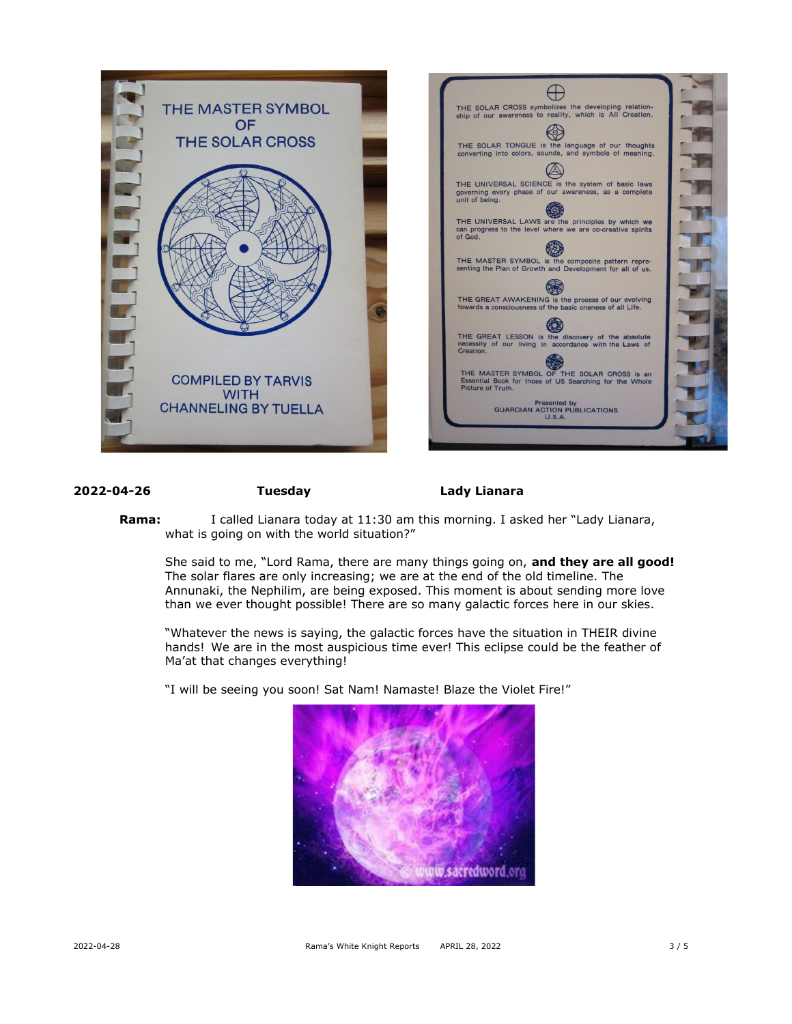

## **2022-04-26 Tuesday Lady Lianara**

**Rama:** I called Lianara today at 11:30 am this morning. I asked her "Lady Lianara, what is going on with the world situation?"

She said to me, "Lord Rama, there are many things going on, **and they are all good!** The solar flares are only increasing; we are at the end of the old timeline. The Annunaki, the Nephilim, are being exposed. This moment is about sending more love than we ever thought possible! There are so many galactic forces here in our skies.

"Whatever the news is saying, the galactic forces have the situation in THEIR divine hands! We are in the most auspicious time ever! This eclipse could be the feather of Ma'at that changes everything!

"I will be seeing you soon! Sat Nam! Namaste! Blaze the Violet Fire!"

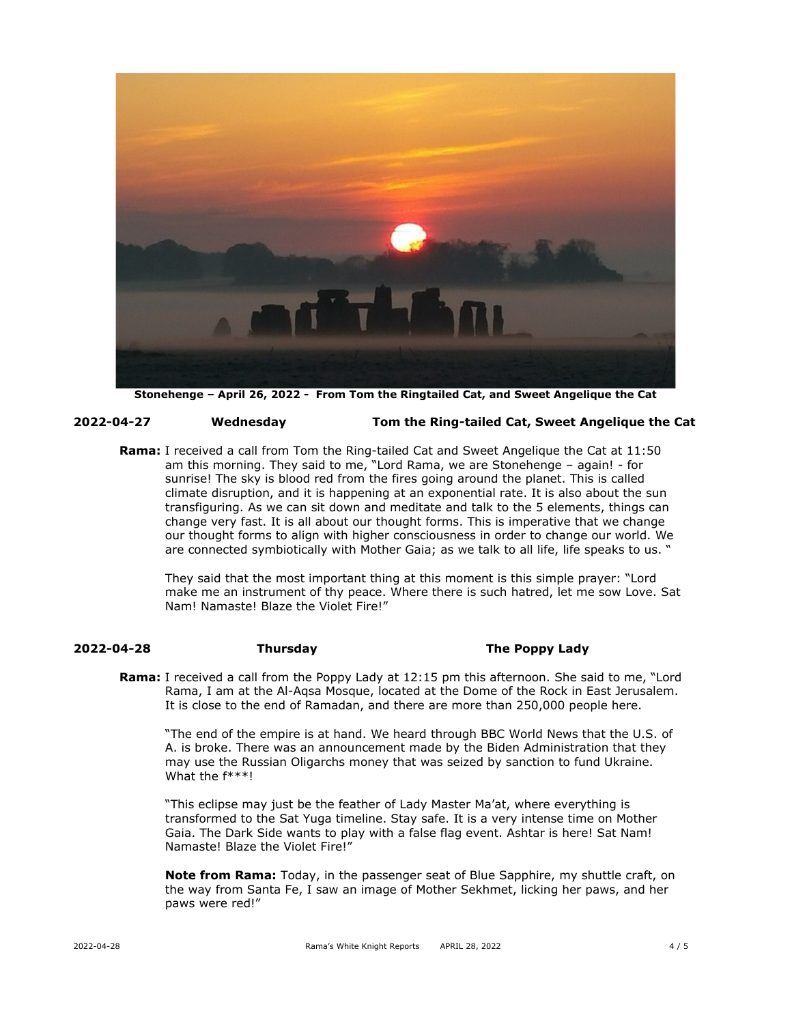

**Stonehenge – April 26, 2022 - From Tom the Ringtailed Cat, and Sweet Angelique the Cat**

### **2022-04-27 Wednesday Tom the Ring-tailed Cat, Sweet Angelique the Cat**

**Rama:** I received a call from Tom the Ring-tailed Cat and Sweet Angelique the Cat at 11:50 am this morning. They said to me, "Lord Rama, we are Stonehenge – again! - for sunrise! The sky is blood red from the fires going around the planet. This is called climate disruption, and it is happening at an exponential rate. It is also about the sun transfiguring. As we can sit down and meditate and talk to the 5 elements, things can change very fast. It is all about our thought forms. This is imperative that we change our thought forms to align with higher consciousness in order to change our world. We are connected symbiotically with Mother Gaia; as we talk to all life, life speaks to us. "

They said that the most important thing at this moment is this simple prayer: "Lord make me an instrument of thy peace. Where there is such hatred, let me sow Love. Sat Nam! Namaste! Blaze the Violet Fire!"

## **2022-04-28 Thursday The Poppy Lady**

**Rama:** I received a call from the Poppy Lady at 12:15 pm this afternoon. She said to me, "Lord Rama, I am at the Al-Aqsa Mosque, located at the Dome of the Rock in East Jerusalem. It is close to the end of Ramadan, and there are more than 250,000 people here.

"The end of the empire is at hand. We heard through BBC World News that the U.S. of A. is broke. There was an announcement made by the Biden Administration that they may use the Russian Oligarchs money that was seized by sanction to fund Ukraine. What the f\*\*\*!

"This eclipse may just be the feather of Lady Master Ma'at, where everything is transformed to the Sat Yuga timeline. Stay safe. It is a very intense time on Mother Gaia. The Dark Side wants to play with a false flag event. Ashtar is here! Sat Nam! Namaste! Blaze the Violet Fire!"

**Note from Rama:** Today, in the passenger seat of Blue Sapphire, my shuttle craft, on the way from Santa Fe, I saw an image of Mother Sekhmet, licking her paws, and her paws were red!"